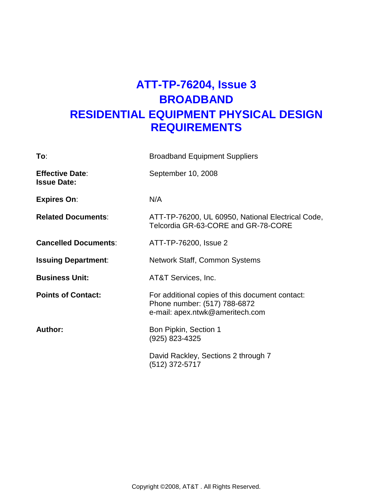# **ATT-TP-76204, Issue 3 BROADBAND RESIDENTIAL EQUIPMENT PHYSICAL DESIGN REQUIREMENTS**

| To:                                          | <b>Broadband Equipment Suppliers</b>                                                                               |
|----------------------------------------------|--------------------------------------------------------------------------------------------------------------------|
| <b>Effective Date:</b><br><b>Issue Date:</b> | September 10, 2008                                                                                                 |
| <b>Expires On:</b>                           | N/A                                                                                                                |
| <b>Related Documents:</b>                    | ATT-TP-76200, UL 60950, National Electrical Code,<br>Telcordia GR-63-CORE and GR-78-CORE                           |
| <b>Cancelled Documents:</b>                  | ATT-TP-76200, Issue 2                                                                                              |
| <b>Issuing Department:</b>                   | Network Staff, Common Systems                                                                                      |
| <b>Business Unit:</b>                        | AT&T Services, Inc.                                                                                                |
| <b>Points of Contact:</b>                    | For additional copies of this document contact:<br>Phone number: (517) 788-6872<br>e-mail: apex.ntwk@ameritech.com |
| Author:                                      | Bon Pipkin, Section 1<br>(925) 823-4325                                                                            |
|                                              | David Rackley, Sections 2 through 7<br>(512) 372-5717                                                              |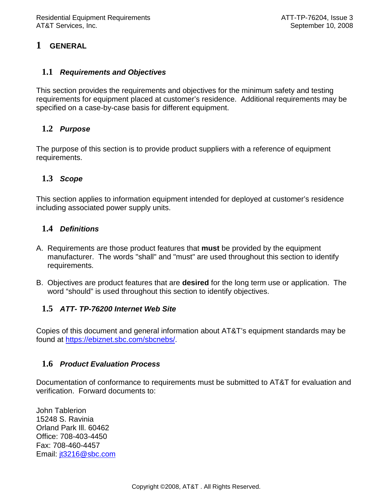# **1 GENERAL**

### **1.1 Requirements and Objectives**

This section provides the requirements and objectives for the minimum safety and testing requirements for equipment placed at customer's residence. Additional requirements may be specified on a case-by-case basis for different equipment.

# **1.2 Purpose**

The purpose of this section is to provide product suppliers with a reference of equipment requirements.

# **1.3 Scope**

This section applies to information equipment intended for deployed at customer's residence including associated power supply units.

# **1.4 Definitions**

- A. Requirements are those product features that **must** be provided by the equipment manufacturer. The words "shall" and "must" are used throughout this section to identify requirements.
- B. Objectives are product features that are **desired** for the long term use or application. The word "should" is used throughout this section to identify objectives.

# **1.5 ATT- TP-76200 Internet Web Site**

Copies of this document and general information about AT&T's equipment standards may be found at https://ebiznet.sbc.com/sbcnebs/.

### **1.6 Product Evaluation Process**

Documentation of conformance to requirements must be submitted to AT&T for evaluation and verification. Forward documents to:

John Tablerion 15248 S. Ravinia Orland Park Ill. 60462 Office: 708-403-4450 Fax: 708-460-4457 Email: jt3216@sbc.com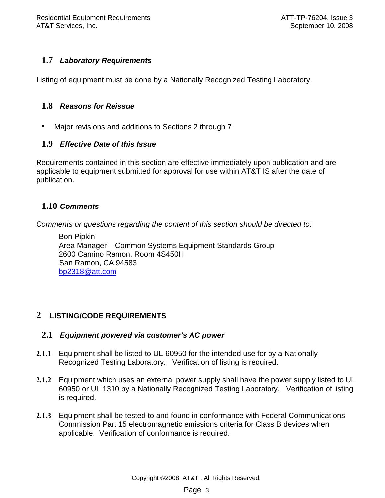# **1.7 Laboratory Requirements**

Listing of equipment must be done by a Nationally Recognized Testing Laboratory.

### **1.8 Reasons for Reissue**

• Major revisions and additions to Sections 2 through 7

# **1.9 Effective Date of this Issue**

Requirements contained in this section are effective immediately upon publication and are applicable to equipment submitted for approval for use within AT&T IS after the date of publication.

# **1.10 Comments**

Comments or questions regarding the content of this section should be directed to:

Bon Pipkin Area Manager – Common Systems Equipment Standards Group 2600 Camino Ramon, Room 4S450H San Ramon, CA 94583 bp2318@att.com

# **2 LISTING/CODE REQUIREMENTS**

### **2.1 Equipment powered via customer's AC power**

- **2.1.1** Equipment shall be listed to UL-60950 for the intended use for by a Nationally Recognized Testing Laboratory. Verification of listing is required.
- **2.1.2** Equipment which uses an external power supply shall have the power supply listed to UL 60950 or UL 1310 by a Nationally Recognized Testing Laboratory. Verification of listing is required.
- **2.1.3** Equipment shall be tested to and found in conformance with Federal Communications Commission Part 15 electromagnetic emissions criteria for Class B devices when applicable. Verification of conformance is required.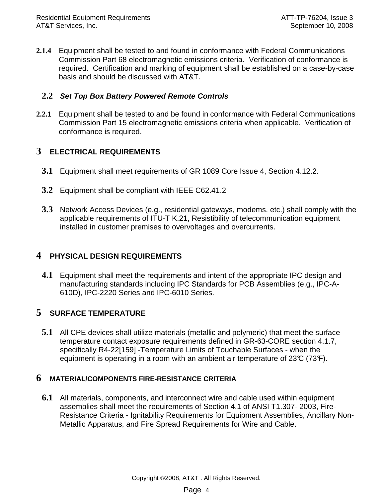**2.1.4** Equipment shall be tested to and found in conformance with Federal Communications Commission Part 68 electromagnetic emissions criteria. Verification of conformance is required. Certification and marking of equipment shall be established on a case-by-case basis and should be discussed with AT&T.

### **2.2 Set Top Box Battery Powered Remote Controls**

**2.2.1** Equipment shall be tested to and be found in conformance with Federal Communications Commission Part 15 electromagnetic emissions criteria when applicable. Verification of conformance is required.

# **3 ELECTRICAL REQUIREMENTS**

- **3.1** Equipment shall meet requirements of GR 1089 Core Issue 4, Section 4.12.2.
- **3.2** Equipment shall be compliant with IEEE C62.41.2
- **3.3** Network Access Devices (e.g., residential gateways, modems, etc.) shall comply with the applicable requirements of ITU-T K.21, Resistibility of telecommunication equipment installed in customer premises to overvoltages and overcurrents.

### **4 PHYSICAL DESIGN REQUIREMENTS**

**4.1** Equipment shall meet the requirements and intent of the appropriate IPC design and manufacturing standards including IPC Standards for PCB Assemblies (e.g., IPC-A-610D), IPC-2220 Series and IPC-6010 Series.

### **5 SURFACE TEMPERATURE**

**5.1** All CPE devices shall utilize materials (metallic and polymeric) that meet the surface temperature contact exposure requirements defined in GR-63-CORE section 4.1.7, specifically R4-22[159] -Temperature Limits of Touchable Surfaces - when the equipment is operating in a room with an ambient air temperature of  $23\mathbb{C}$  (73 $\mathsf{F}$ ).

### **6 MATERIAL/COMPONENTS FIRE-RESISTANCE CRITERIA**

**6.1** All materials, components, and interconnect wire and cable used within equipment assemblies shall meet the requirements of Section 4.1 of ANSI T1.307- 2003, Fire-Resistance Criteria - Ignitability Requirements for Equipment Assemblies, Ancillary Non-Metallic Apparatus, and Fire Spread Requirements for Wire and Cable.